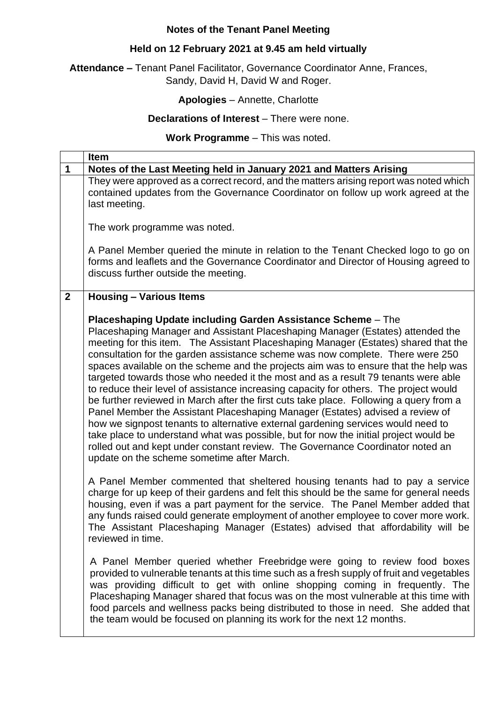# **Notes of the Tenant Panel Meeting**

# **Held on 12 February 2021 at 9.45 am held virtually**

**Attendance –** Tenant Panel Facilitator, Governance Coordinator Anne, Frances, Sandy, David H, David W and Roger.

# **Apologies** – Annette, Charlotte

## **Declarations of Interest** – There were none.

## **Work Programme** – This was noted.

|              | <b>Item</b>                                                                                                                                                                                                                                                                                                                                                                                                                                                                                                                                                                                                                                                                                                                                                                                                                                                                                                                                                                                                                                                                          |
|--------------|--------------------------------------------------------------------------------------------------------------------------------------------------------------------------------------------------------------------------------------------------------------------------------------------------------------------------------------------------------------------------------------------------------------------------------------------------------------------------------------------------------------------------------------------------------------------------------------------------------------------------------------------------------------------------------------------------------------------------------------------------------------------------------------------------------------------------------------------------------------------------------------------------------------------------------------------------------------------------------------------------------------------------------------------------------------------------------------|
| 1            | Notes of the Last Meeting held in January 2021 and Matters Arising                                                                                                                                                                                                                                                                                                                                                                                                                                                                                                                                                                                                                                                                                                                                                                                                                                                                                                                                                                                                                   |
|              | They were approved as a correct record, and the matters arising report was noted which<br>contained updates from the Governance Coordinator on follow up work agreed at the<br>last meeting.                                                                                                                                                                                                                                                                                                                                                                                                                                                                                                                                                                                                                                                                                                                                                                                                                                                                                         |
|              | The work programme was noted.                                                                                                                                                                                                                                                                                                                                                                                                                                                                                                                                                                                                                                                                                                                                                                                                                                                                                                                                                                                                                                                        |
|              | A Panel Member queried the minute in relation to the Tenant Checked logo to go on<br>forms and leaflets and the Governance Coordinator and Director of Housing agreed to<br>discuss further outside the meeting.                                                                                                                                                                                                                                                                                                                                                                                                                                                                                                                                                                                                                                                                                                                                                                                                                                                                     |
| $\mathbf{2}$ | <b>Housing - Various Items</b>                                                                                                                                                                                                                                                                                                                                                                                                                                                                                                                                                                                                                                                                                                                                                                                                                                                                                                                                                                                                                                                       |
|              | Placeshaping Update including Garden Assistance Scheme - The<br>Placeshaping Manager and Assistant Placeshaping Manager (Estates) attended the<br>meeting for this item. The Assistant Placeshaping Manager (Estates) shared that the<br>consultation for the garden assistance scheme was now complete. There were 250<br>spaces available on the scheme and the projects aim was to ensure that the help was<br>targeted towards those who needed it the most and as a result 79 tenants were able<br>to reduce their level of assistance increasing capacity for others. The project would<br>be further reviewed in March after the first cuts take place. Following a query from a<br>Panel Member the Assistant Placeshaping Manager (Estates) advised a review of<br>how we signpost tenants to alternative external gardening services would need to<br>take place to understand what was possible, but for now the initial project would be<br>rolled out and kept under constant review. The Governance Coordinator noted an<br>update on the scheme sometime after March. |
|              | A Panel Member commented that sheltered housing tenants had to pay a service<br>charge for up keep of their gardens and felt this should be the same for general needs<br>housing, even if was a part payment for the service. The Panel Member added that<br>any funds raised could generate employment of another employee to cover more work.<br>The Assistant Placeshaping Manager (Estates) advised that affordability will be<br>reviewed in time.                                                                                                                                                                                                                                                                                                                                                                                                                                                                                                                                                                                                                             |
|              | A Panel Member queried whether Freebridge were going to review food boxes<br>provided to vulnerable tenants at this time such as a fresh supply of fruit and vegetables<br>was providing difficult to get with online shopping coming in frequently. The<br>Placeshaping Manager shared that focus was on the most vulnerable at this time with<br>food parcels and wellness packs being distributed to those in need. She added that<br>the team would be focused on planning its work for the next 12 months.                                                                                                                                                                                                                                                                                                                                                                                                                                                                                                                                                                      |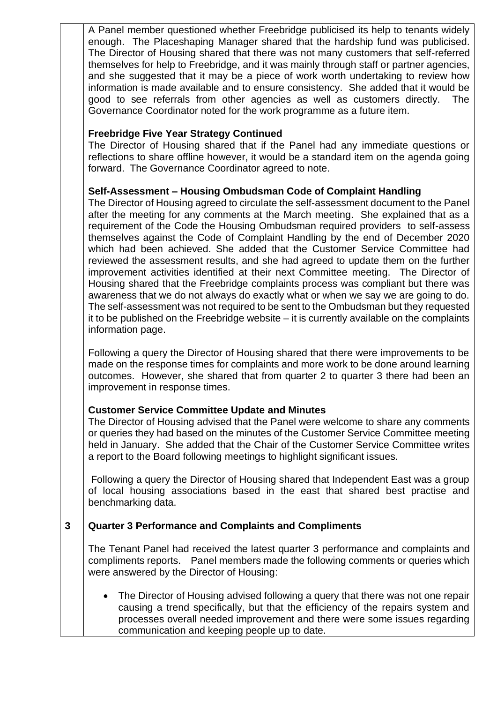A Panel member questioned whether Freebridge publicised its help to tenants widely enough. The Placeshaping Manager shared that the hardship fund was publicised. The Director of Housing shared that there was not many customers that self-referred themselves for help to Freebridge, and it was mainly through staff or partner agencies, and she suggested that it may be a piece of work worth undertaking to review how information is made available and to ensure consistency. She added that it would be good to see referrals from other agencies as well as customers directly. The Governance Coordinator noted for the work programme as a future item.

## **Freebridge Five Year Strategy Continued**

The Director of Housing shared that if the Panel had any immediate questions or reflections to share offline however, it would be a standard item on the agenda going forward. The Governance Coordinator agreed to note.

### **Self-Assessment – Housing Ombudsman Code of Complaint Handling**

The Director of Housing agreed to circulate the self-assessment document to the Panel after the meeting for any comments at the March meeting. She explained that as a requirement of the Code the Housing Ombudsman required providers to self-assess themselves against the Code of Complaint Handling by the end of December 2020 which had been achieved. She added that the Customer Service Committee had reviewed the assessment results, and she had agreed to update them on the further improvement activities identified at their next Committee meeting. The Director of Housing shared that the Freebridge complaints process was compliant but there was awareness that we do not always do exactly what or when we say we are going to do. The self-assessment was not required to be sent to the Ombudsman but they requested it to be published on the Freebridge website – it is currently available on the complaints information page.

Following a query the Director of Housing shared that there were improvements to be made on the response times for complaints and more work to be done around learning outcomes. However, she shared that from quarter 2 to quarter 3 there had been an improvement in response times.

# **Customer Service Committee Update and Minutes**

The Director of Housing advised that the Panel were welcome to share any comments or queries they had based on the minutes of the Customer Service Committee meeting held in January. She added that the Chair of the Customer Service Committee writes a report to the Board following meetings to highlight significant issues.

Following a query the Director of Housing shared that Independent East was a group of local housing associations based in the east that shared best practise and benchmarking data.

# **3 Quarter 3 Performance and Complaints and Compliments**

The Tenant Panel had received the latest quarter 3 performance and complaints and compliments reports. Panel members made the following comments or queries which were answered by the Director of Housing:

The Director of Housing advised following a query that there was not one repair causing a trend specifically, but that the efficiency of the repairs system and processes overall needed improvement and there were some issues regarding communication and keeping people up to date.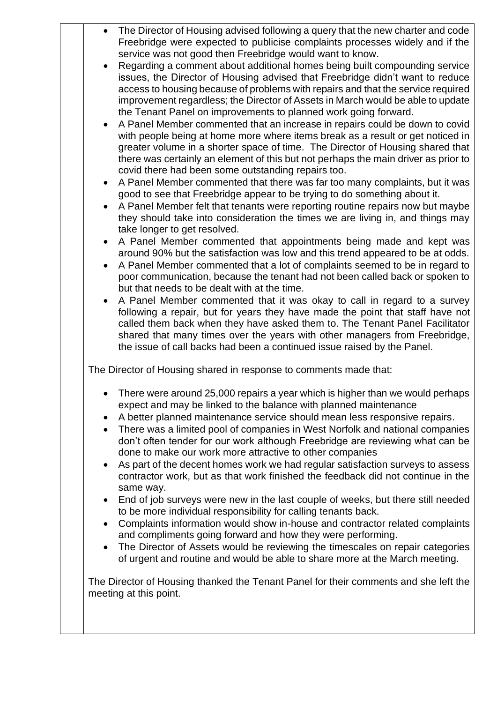| Regarding a comment about additional homes being built compounding service<br>issues, the Director of Housing advised that Freebridge didn't want to reduce<br>access to housing because of problems with repairs and that the service required<br>improvement regardless; the Director of Assets in March would be able to update<br>the Tenant Panel on improvements to planned work going forward.<br>A Panel Member commented that an increase in repairs could be down to covid<br>with people being at home more where items break as a result or get noticed in<br>greater volume in a shorter space of time. The Director of Housing shared that<br>there was certainly an element of this but not perhaps the main driver as prior to<br>covid there had been some outstanding repairs too.<br>A Panel Member commented that there was far too many complaints, but it was<br>$\bullet$<br>good to see that Freebridge appear to be trying to do something about it.<br>A Panel Member felt that tenants were reporting routine repairs now but maybe<br>they should take into consideration the times we are living in, and things may<br>take longer to get resolved.<br>A Panel Member commented that appointments being made and kept was<br>$\bullet$<br>around 90% but the satisfaction was low and this trend appeared to be at odds.<br>A Panel Member commented that a lot of complaints seemed to be in regard to<br>poor communication, because the tenant had not been called back or spoken to<br>but that needs to be dealt with at the time.<br>A Panel Member commented that it was okay to call in regard to a survey<br>following a repair, but for years they have made the point that staff have not<br>called them back when they have asked them to. The Tenant Panel Facilitator<br>shared that many times over the years with other managers from Freebridge,<br>the issue of call backs had been a continued issue raised by the Panel.<br>The Director of Housing shared in response to comments made that:<br>There were around 25,000 repairs a year which is higher than we would perhaps<br>$\bullet$<br>expect and may be linked to the balance with planned maintenance<br>A better planned maintenance service should mean less responsive repairs.<br>$\bullet$<br>There was a limited pool of companies in West Norfolk and national companies<br>$\bullet$<br>don't often tender for our work although Freebridge are reviewing what can be<br>done to make our work more attractive to other companies<br>As part of the decent homes work we had regular satisfaction surveys to assess<br>$\bullet$<br>contractor work, but as that work finished the feedback did not continue in the<br>same way.<br>End of job surveys were new in the last couple of weeks, but there still needed<br>$\bullet$<br>to be more individual responsibility for calling tenants back.<br>Complaints information would show in-house and contractor related complaints<br>$\bullet$<br>and compliments going forward and how they were performing.<br>The Director of Assets would be reviewing the timescales on repair categories<br>$\bullet$<br>of urgent and routine and would be able to share more at the March meeting.<br>The Director of Housing thanked the Tenant Panel for their comments and she left the | The Director of Housing advised following a query that the new charter and code<br>Freebridge were expected to publicise complaints processes widely and if the<br>service was not good then Freebridge would want to know. |
|--------------------------------------------------------------------------------------------------------------------------------------------------------------------------------------------------------------------------------------------------------------------------------------------------------------------------------------------------------------------------------------------------------------------------------------------------------------------------------------------------------------------------------------------------------------------------------------------------------------------------------------------------------------------------------------------------------------------------------------------------------------------------------------------------------------------------------------------------------------------------------------------------------------------------------------------------------------------------------------------------------------------------------------------------------------------------------------------------------------------------------------------------------------------------------------------------------------------------------------------------------------------------------------------------------------------------------------------------------------------------------------------------------------------------------------------------------------------------------------------------------------------------------------------------------------------------------------------------------------------------------------------------------------------------------------------------------------------------------------------------------------------------------------------------------------------------------------------------------------------------------------------------------------------------------------------------------------------------------------------------------------------------------------------------------------------------------------------------------------------------------------------------------------------------------------------------------------------------------------------------------------------------------------------------------------------------------------------------------------------------------------------------------------------------------------------------------------------------------------------------------------------------------------------------------------------------------------------------------------------------------------------------------------------------------------------------------------------------------------------------------------------------------------------------------------------------------------------------------------------------------------------------------------------------------------------------------------------------------------------------------------------------------------------------------------------------------------------------------------------------------------------------------------------------------------------------------------------------------------------------------------------------------------------------------------------------------------------------------|-----------------------------------------------------------------------------------------------------------------------------------------------------------------------------------------------------------------------------|
|                                                                                                                                                                                                                                                                                                                                                                                                                                                                                                                                                                                                                                                                                                                                                                                                                                                                                                                                                                                                                                                                                                                                                                                                                                                                                                                                                                                                                                                                                                                                                                                                                                                                                                                                                                                                                                                                                                                                                                                                                                                                                                                                                                                                                                                                                                                                                                                                                                                                                                                                                                                                                                                                                                                                                                                                                                                                                                                                                                                                                                                                                                                                                                                                                                                                                                                                                        |                                                                                                                                                                                                                             |
|                                                                                                                                                                                                                                                                                                                                                                                                                                                                                                                                                                                                                                                                                                                                                                                                                                                                                                                                                                                                                                                                                                                                                                                                                                                                                                                                                                                                                                                                                                                                                                                                                                                                                                                                                                                                                                                                                                                                                                                                                                                                                                                                                                                                                                                                                                                                                                                                                                                                                                                                                                                                                                                                                                                                                                                                                                                                                                                                                                                                                                                                                                                                                                                                                                                                                                                                                        |                                                                                                                                                                                                                             |
|                                                                                                                                                                                                                                                                                                                                                                                                                                                                                                                                                                                                                                                                                                                                                                                                                                                                                                                                                                                                                                                                                                                                                                                                                                                                                                                                                                                                                                                                                                                                                                                                                                                                                                                                                                                                                                                                                                                                                                                                                                                                                                                                                                                                                                                                                                                                                                                                                                                                                                                                                                                                                                                                                                                                                                                                                                                                                                                                                                                                                                                                                                                                                                                                                                                                                                                                                        |                                                                                                                                                                                                                             |
|                                                                                                                                                                                                                                                                                                                                                                                                                                                                                                                                                                                                                                                                                                                                                                                                                                                                                                                                                                                                                                                                                                                                                                                                                                                                                                                                                                                                                                                                                                                                                                                                                                                                                                                                                                                                                                                                                                                                                                                                                                                                                                                                                                                                                                                                                                                                                                                                                                                                                                                                                                                                                                                                                                                                                                                                                                                                                                                                                                                                                                                                                                                                                                                                                                                                                                                                                        |                                                                                                                                                                                                                             |
|                                                                                                                                                                                                                                                                                                                                                                                                                                                                                                                                                                                                                                                                                                                                                                                                                                                                                                                                                                                                                                                                                                                                                                                                                                                                                                                                                                                                                                                                                                                                                                                                                                                                                                                                                                                                                                                                                                                                                                                                                                                                                                                                                                                                                                                                                                                                                                                                                                                                                                                                                                                                                                                                                                                                                                                                                                                                                                                                                                                                                                                                                                                                                                                                                                                                                                                                                        |                                                                                                                                                                                                                             |
|                                                                                                                                                                                                                                                                                                                                                                                                                                                                                                                                                                                                                                                                                                                                                                                                                                                                                                                                                                                                                                                                                                                                                                                                                                                                                                                                                                                                                                                                                                                                                                                                                                                                                                                                                                                                                                                                                                                                                                                                                                                                                                                                                                                                                                                                                                                                                                                                                                                                                                                                                                                                                                                                                                                                                                                                                                                                                                                                                                                                                                                                                                                                                                                                                                                                                                                                                        |                                                                                                                                                                                                                             |
|                                                                                                                                                                                                                                                                                                                                                                                                                                                                                                                                                                                                                                                                                                                                                                                                                                                                                                                                                                                                                                                                                                                                                                                                                                                                                                                                                                                                                                                                                                                                                                                                                                                                                                                                                                                                                                                                                                                                                                                                                                                                                                                                                                                                                                                                                                                                                                                                                                                                                                                                                                                                                                                                                                                                                                                                                                                                                                                                                                                                                                                                                                                                                                                                                                                                                                                                                        |                                                                                                                                                                                                                             |
|                                                                                                                                                                                                                                                                                                                                                                                                                                                                                                                                                                                                                                                                                                                                                                                                                                                                                                                                                                                                                                                                                                                                                                                                                                                                                                                                                                                                                                                                                                                                                                                                                                                                                                                                                                                                                                                                                                                                                                                                                                                                                                                                                                                                                                                                                                                                                                                                                                                                                                                                                                                                                                                                                                                                                                                                                                                                                                                                                                                                                                                                                                                                                                                                                                                                                                                                                        |                                                                                                                                                                                                                             |
|                                                                                                                                                                                                                                                                                                                                                                                                                                                                                                                                                                                                                                                                                                                                                                                                                                                                                                                                                                                                                                                                                                                                                                                                                                                                                                                                                                                                                                                                                                                                                                                                                                                                                                                                                                                                                                                                                                                                                                                                                                                                                                                                                                                                                                                                                                                                                                                                                                                                                                                                                                                                                                                                                                                                                                                                                                                                                                                                                                                                                                                                                                                                                                                                                                                                                                                                                        |                                                                                                                                                                                                                             |
|                                                                                                                                                                                                                                                                                                                                                                                                                                                                                                                                                                                                                                                                                                                                                                                                                                                                                                                                                                                                                                                                                                                                                                                                                                                                                                                                                                                                                                                                                                                                                                                                                                                                                                                                                                                                                                                                                                                                                                                                                                                                                                                                                                                                                                                                                                                                                                                                                                                                                                                                                                                                                                                                                                                                                                                                                                                                                                                                                                                                                                                                                                                                                                                                                                                                                                                                                        |                                                                                                                                                                                                                             |
|                                                                                                                                                                                                                                                                                                                                                                                                                                                                                                                                                                                                                                                                                                                                                                                                                                                                                                                                                                                                                                                                                                                                                                                                                                                                                                                                                                                                                                                                                                                                                                                                                                                                                                                                                                                                                                                                                                                                                                                                                                                                                                                                                                                                                                                                                                                                                                                                                                                                                                                                                                                                                                                                                                                                                                                                                                                                                                                                                                                                                                                                                                                                                                                                                                                                                                                                                        |                                                                                                                                                                                                                             |
|                                                                                                                                                                                                                                                                                                                                                                                                                                                                                                                                                                                                                                                                                                                                                                                                                                                                                                                                                                                                                                                                                                                                                                                                                                                                                                                                                                                                                                                                                                                                                                                                                                                                                                                                                                                                                                                                                                                                                                                                                                                                                                                                                                                                                                                                                                                                                                                                                                                                                                                                                                                                                                                                                                                                                                                                                                                                                                                                                                                                                                                                                                                                                                                                                                                                                                                                                        |                                                                                                                                                                                                                             |
|                                                                                                                                                                                                                                                                                                                                                                                                                                                                                                                                                                                                                                                                                                                                                                                                                                                                                                                                                                                                                                                                                                                                                                                                                                                                                                                                                                                                                                                                                                                                                                                                                                                                                                                                                                                                                                                                                                                                                                                                                                                                                                                                                                                                                                                                                                                                                                                                                                                                                                                                                                                                                                                                                                                                                                                                                                                                                                                                                                                                                                                                                                                                                                                                                                                                                                                                                        |                                                                                                                                                                                                                             |
|                                                                                                                                                                                                                                                                                                                                                                                                                                                                                                                                                                                                                                                                                                                                                                                                                                                                                                                                                                                                                                                                                                                                                                                                                                                                                                                                                                                                                                                                                                                                                                                                                                                                                                                                                                                                                                                                                                                                                                                                                                                                                                                                                                                                                                                                                                                                                                                                                                                                                                                                                                                                                                                                                                                                                                                                                                                                                                                                                                                                                                                                                                                                                                                                                                                                                                                                                        |                                                                                                                                                                                                                             |
|                                                                                                                                                                                                                                                                                                                                                                                                                                                                                                                                                                                                                                                                                                                                                                                                                                                                                                                                                                                                                                                                                                                                                                                                                                                                                                                                                                                                                                                                                                                                                                                                                                                                                                                                                                                                                                                                                                                                                                                                                                                                                                                                                                                                                                                                                                                                                                                                                                                                                                                                                                                                                                                                                                                                                                                                                                                                                                                                                                                                                                                                                                                                                                                                                                                                                                                                                        |                                                                                                                                                                                                                             |
|                                                                                                                                                                                                                                                                                                                                                                                                                                                                                                                                                                                                                                                                                                                                                                                                                                                                                                                                                                                                                                                                                                                                                                                                                                                                                                                                                                                                                                                                                                                                                                                                                                                                                                                                                                                                                                                                                                                                                                                                                                                                                                                                                                                                                                                                                                                                                                                                                                                                                                                                                                                                                                                                                                                                                                                                                                                                                                                                                                                                                                                                                                                                                                                                                                                                                                                                                        |                                                                                                                                                                                                                             |
|                                                                                                                                                                                                                                                                                                                                                                                                                                                                                                                                                                                                                                                                                                                                                                                                                                                                                                                                                                                                                                                                                                                                                                                                                                                                                                                                                                                                                                                                                                                                                                                                                                                                                                                                                                                                                                                                                                                                                                                                                                                                                                                                                                                                                                                                                                                                                                                                                                                                                                                                                                                                                                                                                                                                                                                                                                                                                                                                                                                                                                                                                                                                                                                                                                                                                                                                                        |                                                                                                                                                                                                                             |
|                                                                                                                                                                                                                                                                                                                                                                                                                                                                                                                                                                                                                                                                                                                                                                                                                                                                                                                                                                                                                                                                                                                                                                                                                                                                                                                                                                                                                                                                                                                                                                                                                                                                                                                                                                                                                                                                                                                                                                                                                                                                                                                                                                                                                                                                                                                                                                                                                                                                                                                                                                                                                                                                                                                                                                                                                                                                                                                                                                                                                                                                                                                                                                                                                                                                                                                                                        |                                                                                                                                                                                                                             |
|                                                                                                                                                                                                                                                                                                                                                                                                                                                                                                                                                                                                                                                                                                                                                                                                                                                                                                                                                                                                                                                                                                                                                                                                                                                                                                                                                                                                                                                                                                                                                                                                                                                                                                                                                                                                                                                                                                                                                                                                                                                                                                                                                                                                                                                                                                                                                                                                                                                                                                                                                                                                                                                                                                                                                                                                                                                                                                                                                                                                                                                                                                                                                                                                                                                                                                                                                        |                                                                                                                                                                                                                             |
|                                                                                                                                                                                                                                                                                                                                                                                                                                                                                                                                                                                                                                                                                                                                                                                                                                                                                                                                                                                                                                                                                                                                                                                                                                                                                                                                                                                                                                                                                                                                                                                                                                                                                                                                                                                                                                                                                                                                                                                                                                                                                                                                                                                                                                                                                                                                                                                                                                                                                                                                                                                                                                                                                                                                                                                                                                                                                                                                                                                                                                                                                                                                                                                                                                                                                                                                                        |                                                                                                                                                                                                                             |
| meeting at this point.                                                                                                                                                                                                                                                                                                                                                                                                                                                                                                                                                                                                                                                                                                                                                                                                                                                                                                                                                                                                                                                                                                                                                                                                                                                                                                                                                                                                                                                                                                                                                                                                                                                                                                                                                                                                                                                                                                                                                                                                                                                                                                                                                                                                                                                                                                                                                                                                                                                                                                                                                                                                                                                                                                                                                                                                                                                                                                                                                                                                                                                                                                                                                                                                                                                                                                                                 |                                                                                                                                                                                                                             |
|                                                                                                                                                                                                                                                                                                                                                                                                                                                                                                                                                                                                                                                                                                                                                                                                                                                                                                                                                                                                                                                                                                                                                                                                                                                                                                                                                                                                                                                                                                                                                                                                                                                                                                                                                                                                                                                                                                                                                                                                                                                                                                                                                                                                                                                                                                                                                                                                                                                                                                                                                                                                                                                                                                                                                                                                                                                                                                                                                                                                                                                                                                                                                                                                                                                                                                                                                        |                                                                                                                                                                                                                             |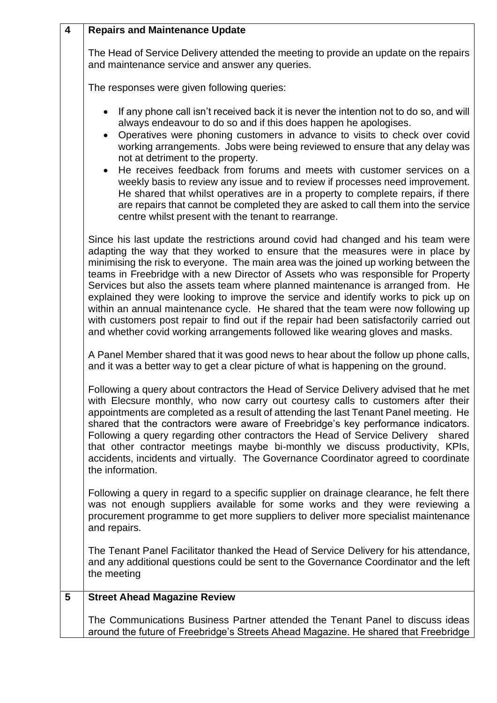| $\overline{\mathbf{4}}$ | <b>Repairs and Maintenance Update</b>                                                                                                                                                                                                                                                                                                                                                                                                                                                                                                                                                                                                                                                                                                                                                           |
|-------------------------|-------------------------------------------------------------------------------------------------------------------------------------------------------------------------------------------------------------------------------------------------------------------------------------------------------------------------------------------------------------------------------------------------------------------------------------------------------------------------------------------------------------------------------------------------------------------------------------------------------------------------------------------------------------------------------------------------------------------------------------------------------------------------------------------------|
|                         | The Head of Service Delivery attended the meeting to provide an update on the repairs<br>and maintenance service and answer any queries.                                                                                                                                                                                                                                                                                                                                                                                                                                                                                                                                                                                                                                                        |
|                         | The responses were given following queries:                                                                                                                                                                                                                                                                                                                                                                                                                                                                                                                                                                                                                                                                                                                                                     |
|                         | If any phone call isn't received back it is never the intention not to do so, and will<br>always endeavour to do so and if this does happen he apologises.<br>Operatives were phoning customers in advance to visits to check over covid<br>$\bullet$<br>working arrangements. Jobs were being reviewed to ensure that any delay was<br>not at detriment to the property.<br>He receives feedback from forums and meets with customer services on a<br>weekly basis to review any issue and to review if processes need improvement.<br>He shared that whilst operatives are in a property to complete repairs, if there<br>are repairs that cannot be completed they are asked to call them into the service<br>centre whilst present with the tenant to rearrange.                            |
|                         | Since his last update the restrictions around covid had changed and his team were<br>adapting the way that they worked to ensure that the measures were in place by<br>minimising the risk to everyone. The main area was the joined up working between the<br>teams in Freebridge with a new Director of Assets who was responsible for Property<br>Services but also the assets team where planned maintenance is arranged from. He<br>explained they were looking to improve the service and identify works to pick up on<br>within an annual maintenance cycle. He shared that the team were now following up<br>with customers post repair to find out if the repair had been satisfactorily carried out<br>and whether covid working arrangements followed like wearing gloves and masks. |
|                         | A Panel Member shared that it was good news to hear about the follow up phone calls,<br>and it was a better way to get a clear picture of what is happening on the ground.                                                                                                                                                                                                                                                                                                                                                                                                                                                                                                                                                                                                                      |
|                         | Following a query about contractors the Head of Service Delivery advised that he met<br>with Elecsure monthly, who now carry out courtesy calls to customers after their<br>appointments are completed as a result of attending the last Tenant Panel meeting. He<br>shared that the contractors were aware of Freebridge's key performance indicators.<br>Following a query regarding other contractors the Head of Service Delivery shared<br>that other contractor meetings maybe bi-monthly we discuss productivity, KPIs,<br>accidents, incidents and virtually. The Governance Coordinator agreed to coordinate<br>the information.                                                                                                                                                       |
|                         | Following a query in regard to a specific supplier on drainage clearance, he felt there<br>was not enough suppliers available for some works and they were reviewing a<br>procurement programme to get more suppliers to deliver more specialist maintenance<br>and repairs.                                                                                                                                                                                                                                                                                                                                                                                                                                                                                                                    |
|                         | The Tenant Panel Facilitator thanked the Head of Service Delivery for his attendance,<br>and any additional questions could be sent to the Governance Coordinator and the left<br>the meeting                                                                                                                                                                                                                                                                                                                                                                                                                                                                                                                                                                                                   |
| 5                       | <b>Street Ahead Magazine Review</b>                                                                                                                                                                                                                                                                                                                                                                                                                                                                                                                                                                                                                                                                                                                                                             |
|                         | The Communications Business Partner attended the Tenant Panel to discuss ideas<br>around the future of Freebridge's Streets Ahead Magazine. He shared that Freebridge                                                                                                                                                                                                                                                                                                                                                                                                                                                                                                                                                                                                                           |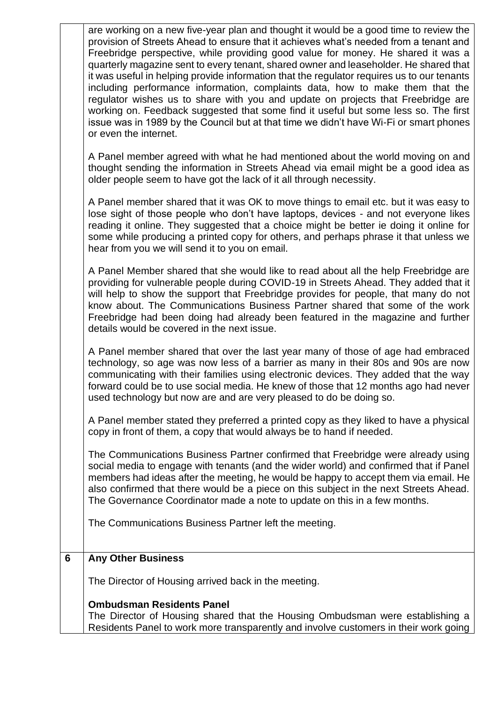|   | are working on a new five-year plan and thought it would be a good time to review the<br>provision of Streets Ahead to ensure that it achieves what's needed from a tenant and<br>Freebridge perspective, while providing good value for money. He shared it was a<br>quarterly magazine sent to every tenant, shared owner and leaseholder. He shared that<br>it was useful in helping provide information that the regulator requires us to our tenants<br>including performance information, complaints data, how to make them that the<br>regulator wishes us to share with you and update on projects that Freebridge are<br>working on. Feedback suggested that some find it useful but some less so. The first<br>issue was in 1989 by the Council but at that time we didn't have Wi-Fi or smart phones<br>or even the internet. |
|---|------------------------------------------------------------------------------------------------------------------------------------------------------------------------------------------------------------------------------------------------------------------------------------------------------------------------------------------------------------------------------------------------------------------------------------------------------------------------------------------------------------------------------------------------------------------------------------------------------------------------------------------------------------------------------------------------------------------------------------------------------------------------------------------------------------------------------------------|
|   | A Panel member agreed with what he had mentioned about the world moving on and<br>thought sending the information in Streets Ahead via email might be a good idea as<br>older people seem to have got the lack of it all through necessity.                                                                                                                                                                                                                                                                                                                                                                                                                                                                                                                                                                                              |
|   | A Panel member shared that it was OK to move things to email etc. but it was easy to<br>lose sight of those people who don't have laptops, devices - and not everyone likes<br>reading it online. They suggested that a choice might be better ie doing it online for<br>some while producing a printed copy for others, and perhaps phrase it that unless we<br>hear from you we will send it to you on email.                                                                                                                                                                                                                                                                                                                                                                                                                          |
|   | A Panel Member shared that she would like to read about all the help Freebridge are<br>providing for vulnerable people during COVID-19 in Streets Ahead. They added that it<br>will help to show the support that Freebridge provides for people, that many do not<br>know about. The Communications Business Partner shared that some of the work<br>Freebridge had been doing had already been featured in the magazine and further<br>details would be covered in the next issue.                                                                                                                                                                                                                                                                                                                                                     |
|   | A Panel member shared that over the last year many of those of age had embraced<br>technology, so age was now less of a barrier as many in their 80s and 90s are now<br>communicating with their families using electronic devices. They added that the way<br>forward could be to use social media. He knew of those that 12 months ago had never<br>used technology but now are and are very pleased to do be doing so.                                                                                                                                                                                                                                                                                                                                                                                                                |
|   | A Panel member stated they preferred a printed copy as they liked to have a physical<br>copy in front of them, a copy that would always be to hand if needed.                                                                                                                                                                                                                                                                                                                                                                                                                                                                                                                                                                                                                                                                            |
|   | The Communications Business Partner confirmed that Freebridge were already using<br>social media to engage with tenants (and the wider world) and confirmed that if Panel<br>members had ideas after the meeting, he would be happy to accept them via email. He<br>also confirmed that there would be a piece on this subject in the next Streets Ahead.<br>The Governance Coordinator made a note to update on this in a few months.                                                                                                                                                                                                                                                                                                                                                                                                   |
|   | The Communications Business Partner left the meeting.                                                                                                                                                                                                                                                                                                                                                                                                                                                                                                                                                                                                                                                                                                                                                                                    |
| 6 | <b>Any Other Business</b>                                                                                                                                                                                                                                                                                                                                                                                                                                                                                                                                                                                                                                                                                                                                                                                                                |
|   | The Director of Housing arrived back in the meeting.                                                                                                                                                                                                                                                                                                                                                                                                                                                                                                                                                                                                                                                                                                                                                                                     |
|   | <b>Ombudsman Residents Panel</b><br>The Director of Housing shared that the Housing Ombudsman were establishing a<br>Residents Panel to work more transparently and involve customers in their work going                                                                                                                                                                                                                                                                                                                                                                                                                                                                                                                                                                                                                                |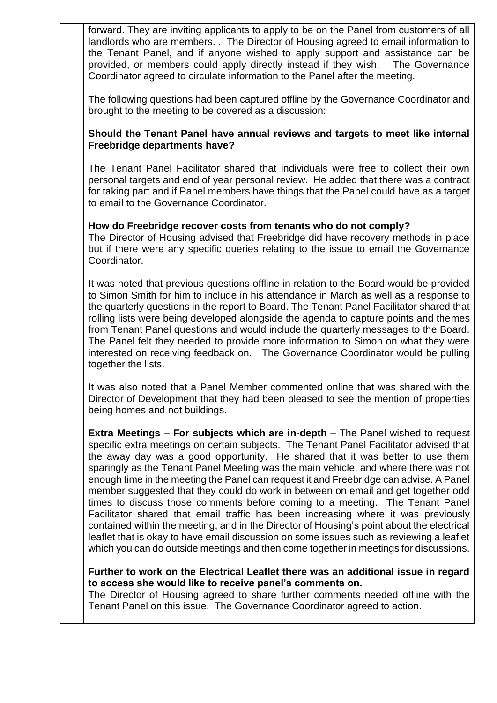forward. They are inviting applicants to apply to be on the Panel from customers of all landlords who are members. . The Director of Housing agreed to email information to the Tenant Panel, and if anyone wished to apply support and assistance can be provided, or members could apply directly instead if they wish. The Governance Coordinator agreed to circulate information to the Panel after the meeting.

The following questions had been captured offline by the Governance Coordinator and brought to the meeting to be covered as a discussion:

### **Should the Tenant Panel have annual reviews and targets to meet like internal Freebridge departments have?**

The Tenant Panel Facilitator shared that individuals were free to collect their own personal targets and end of year personal review. He added that there was a contract for taking part and if Panel members have things that the Panel could have as a target to email to the Governance Coordinator.

### **How do Freebridge recover costs from tenants who do not comply?**

The Director of Housing advised that Freebridge did have recovery methods in place but if there were any specific queries relating to the issue to email the Governance Coordinator.

It was noted that previous questions offline in relation to the Board would be provided to Simon Smith for him to include in his attendance in March as well as a response to the quarterly questions in the report to Board. The Tenant Panel Facilitator shared that rolling lists were being developed alongside the agenda to capture points and themes from Tenant Panel questions and would include the quarterly messages to the Board. The Panel felt they needed to provide more information to Simon on what they were interested on receiving feedback on. The Governance Coordinator would be pulling together the lists.

It was also noted that a Panel Member commented online that was shared with the Director of Development that they had been pleased to see the mention of properties being homes and not buildings.

**Extra Meetings – For subjects which are in-depth –** The Panel wished to request specific extra meetings on certain subjects. The Tenant Panel Facilitator advised that the away day was a good opportunity. He shared that it was better to use them sparingly as the Tenant Panel Meeting was the main vehicle, and where there was not enough time in the meeting the Panel can request it and Freebridge can advise. A Panel member suggested that they could do work in between on email and get together odd times to discuss those comments before coming to a meeting. The Tenant Panel Facilitator shared that email traffic has been increasing where it was previously contained within the meeting, and in the Director of Housing's point about the electrical leaflet that is okay to have email discussion on some issues such as reviewing a leaflet which you can do outside meetings and then come together in meetings for discussions.

#### **Further to work on the Electrical Leaflet there was an additional issue in regard to access she would like to receive panel's comments on.**

The Director of Housing agreed to share further comments needed offline with the Tenant Panel on this issue. The Governance Coordinator agreed to action.